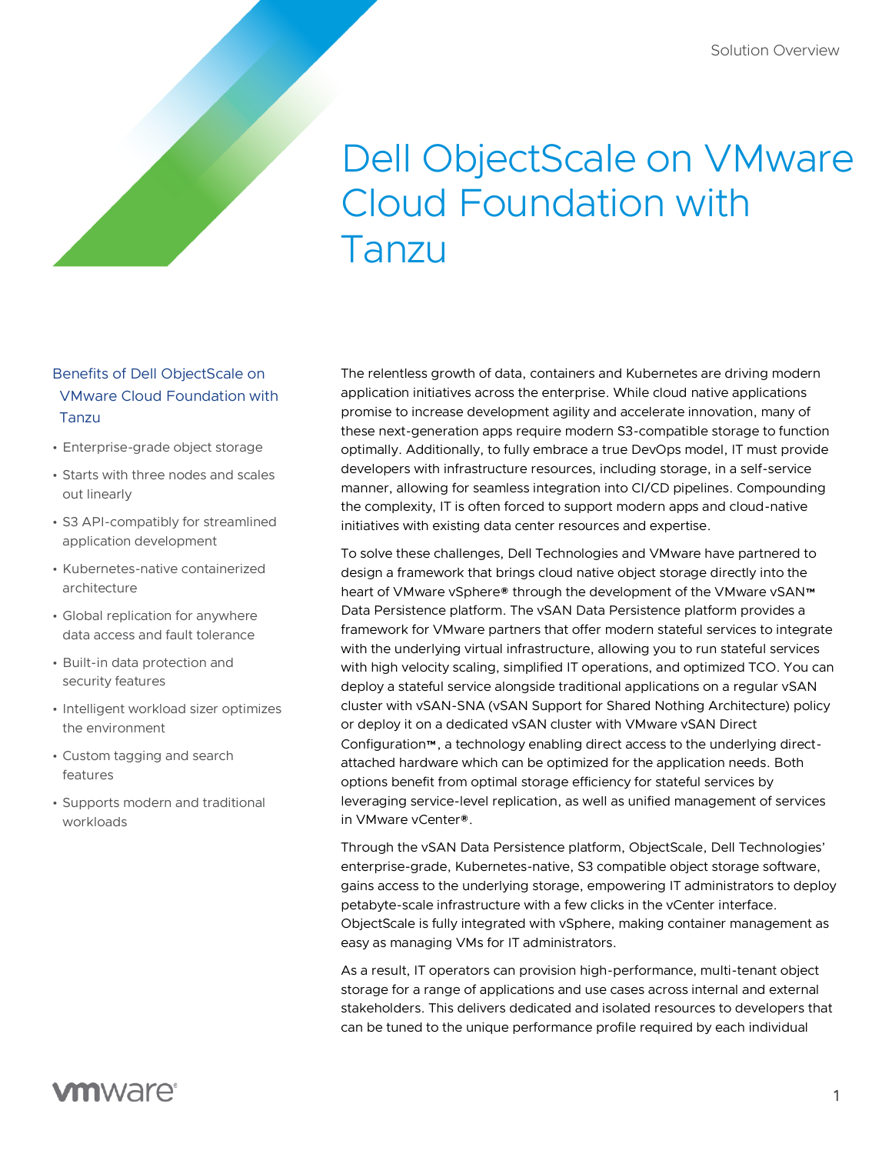# Dell ObjectScale on VMware Cloud Foundation with Tanzu

## Benefits of Dell ObjectScale on VMware Cloud Foundation with Tanzu

- Enterprise-grade object storage
- Starts with three nodes and scales out linearly
- S3 API-compatibly for streamlined application development
- Kubernetes-native containerized architecture
- Global replication for anywhere data access and fault tolerance
- Built-in data protection and security features
- Intelligent workload sizer optimizes the environment
- Custom tagging and search features
- Supports modern and traditional workloads

The relentless growth of data, containers and Kubernetes are driving modern application initiatives across the enterprise. While cloud native applications promise to increase development agility and accelerate innovation, many of these next-generation apps require modern S3-compatible storage to function optimally. Additionally, to fully embrace a true DevOps model, IT must provide developers with infrastructure resources, including storage, in a self-service manner, allowing for seamless integration into CI/CD pipelines. Compounding the complexity, IT is often forced to support modern apps and cloud-native initiatives with existing data center resources and expertise.

To solve these challenges, Dell Technologies and VMware have partnered to design a framework that brings cloud native object storage directly into the heart of VMware vSphere® through the development of the VMware vSAN™ Data Persistence platform. The vSAN Data Persistence platform provides a framework for VMware partners that offer modern stateful services to integrate with the underlying virtual infrastructure, allowing you to run stateful services with high velocity scaling, simplified IT operations, and optimized TCO. You can deploy a stateful service alongside traditional applications on a regular vSAN cluster with vSAN-SNA (vSAN Support for Shared Nothing Architecture) policy or deploy it on a dedicated vSAN cluster with VMware vSAN Direct Configuration™, a technology enabling direct access to the underlying directattached hardware which can be optimized for the application needs. Both options benefit from optimal storage efficiency for stateful services by leveraging service-level replication, as well as unified management of services in VMware vCenter®.

Through the vSAN Data Persistence platform, ObjectScale, Dell Technologies' enterprise-grade, Kubernetes-native, S3 compatible object storage software, gains access to the underlying storage, empowering IT administrators to deploy petabyte-scale infrastructure with a few clicks in the vCenter interface. ObjectScale is fully integrated with vSphere, making container management as easy as managing VMs for IT administrators.

As a result, IT operators can provision high-performance, multi-tenant object storage for a range of applications and use cases across internal and external stakeholders. This delivers dedicated and isolated resources to developers that can be tuned to the unique performance profile required by each individual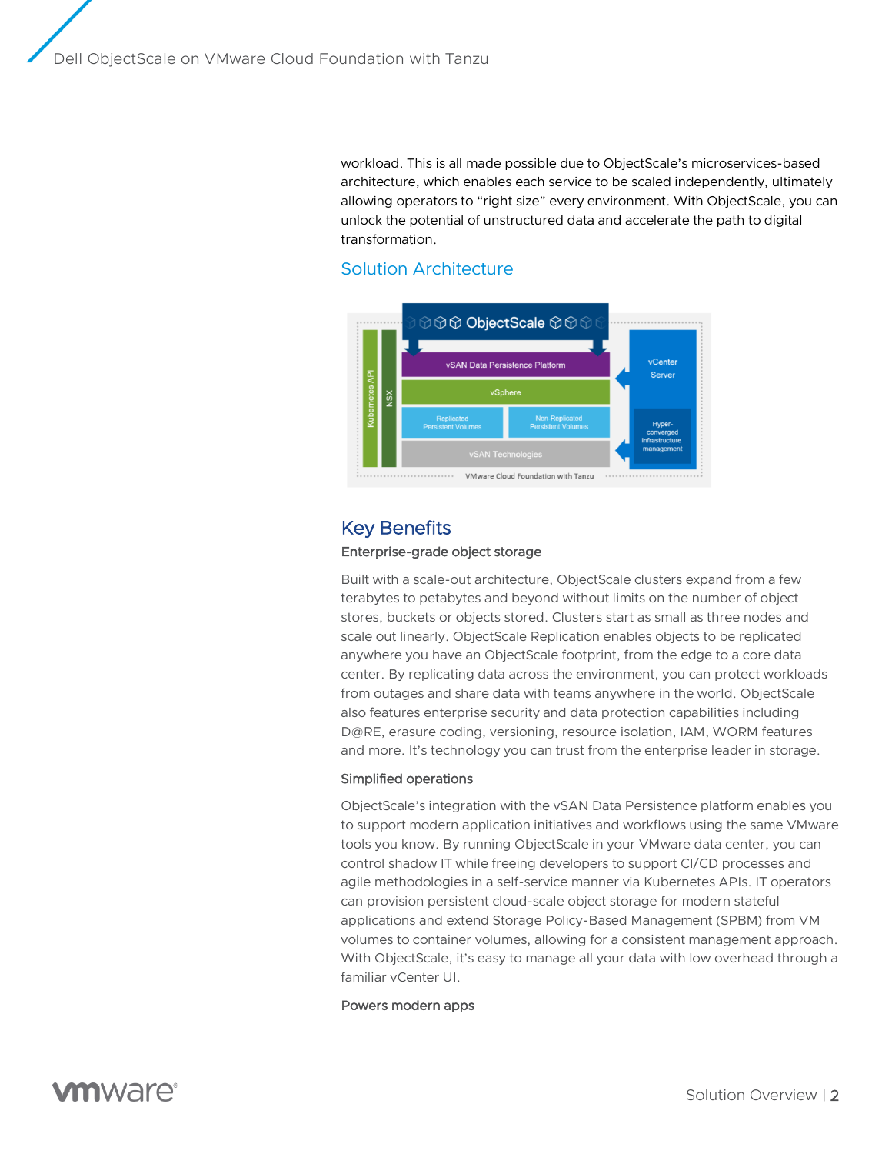workload. This is all made possible due to ObjectScale's microservices-based architecture, which enables each service to be scaled independently, ultimately allowing operators to "right size" every environment. With ObjectScale, you can unlock the potential of unstructured data and accelerate the path to digital transformation.

## Solution Architecture



## Key Benefits

#### Enterprise-grade object storage

Built with a scale-out architecture, ObjectScale clusters expand from a few terabytes to petabytes and beyond without limits on the number of object stores, buckets or objects stored. Clusters start as small as three nodes and scale out linearly. ObjectScale Replication enables objects to be replicated anywhere you have an ObjectScale footprint, from the edge to a core data center. By replicating data across the environment, you can protect workloads from outages and share data with teams anywhere in the world. ObjectScale also features enterprise security and data protection capabilities including D@RE, erasure coding, versioning, resource isolation, IAM, WORM features and more. It's technology you can trust from the enterprise leader in storage.

#### Simplified operations

ObjectScale's integration with the vSAN Data Persistence platform enables you to support modern application initiatives and workflows using the same VMware tools you know. By running ObjectScale in your VMware data center, you can control shadow IT while freeing developers to support CI/CD processes and agile methodologies in a self-service manner via Kubernetes APIs. IT operators can provision persistent cloud-scale object storage for modern stateful applications and extend Storage Policy-Based Management (SPBM) from VM volumes to container volumes, allowing for a consistent management approach. With ObjectScale, it's easy to manage all your data with low overhead through a familiar vCenter UI.

#### Powers modern apps

**vm**ware<sup>®</sup>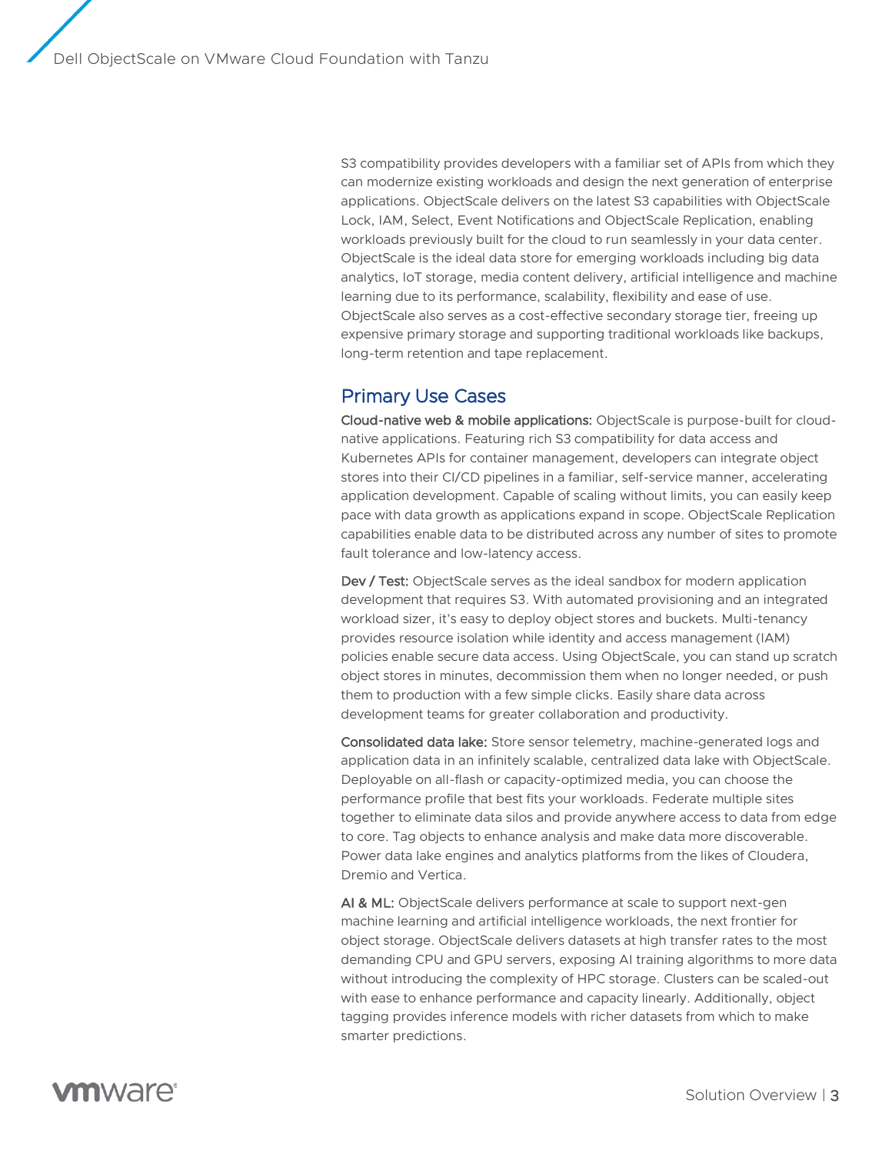S3 compatibility provides developers with a familiar set of APIs from which they can modernize existing workloads and design the next generation of enterprise applications. ObjectScale delivers on the latest S3 capabilities with ObjectScale Lock, IAM, Select, Event Notifications and ObjectScale Replication, enabling workloads previously built for the cloud to run seamlessly in your data center. ObjectScale is the ideal data store for emerging workloads including big data analytics, IoT storage, media content delivery, artificial intelligence and machine learning due to its performance, scalability, flexibility and ease of use. ObjectScale also serves as a cost-effective secondary storage tier, freeing up expensive primary storage and supporting traditional workloads like backups, long-term retention and tape replacement.

## Primary Use Cases

Cloud-native web & mobile applications: ObjectScale is purpose-built for cloudnative applications. Featuring rich S3 compatibility for data access and Kubernetes APIs for container management, developers can integrate object stores into their CI/CD pipelines in a familiar, self-service manner, accelerating application development. Capable of scaling without limits, you can easily keep pace with data growth as applications expand in scope. ObjectScale Replication capabilities enable data to be distributed across any number of sites to promote fault tolerance and low-latency access.

Dev / Test: ObjectScale serves as the ideal sandbox for modern application development that requires S3. With automated provisioning and an integrated workload sizer, it's easy to deploy object stores and buckets. Multi-tenancy provides resource isolation while identity and access management (IAM) policies enable secure data access. Using ObjectScale, you can stand up scratch object stores in minutes, decommission them when no longer needed, or push them to production with a few simple clicks. Easily share data across development teams for greater collaboration and productivity.

Consolidated data lake: Store sensor telemetry, machine-generated logs and application data in an infinitely scalable, centralized data lake with ObjectScale. Deployable on all-flash or capacity-optimized media, you can choose the performance profile that best fits your workloads. Federate multiple sites together to eliminate data silos and provide anywhere access to data from edge to core. Tag objects to enhance analysis and make data more discoverable. Power data lake engines and analytics platforms from the likes of Cloudera, Dremio and Vertica.

AI & ML: ObjectScale delivers performance at scale to support next-gen machine learning and artificial intelligence workloads, the next frontier for object storage. ObjectScale delivers datasets at high transfer rates to the most demanding CPU and GPU servers, exposing AI training algorithms to more data without introducing the complexity of HPC storage. Clusters can be scaled-out with ease to enhance performance and capacity linearly. Additionally, object tagging provides inference models with richer datasets from which to make smarter predictions.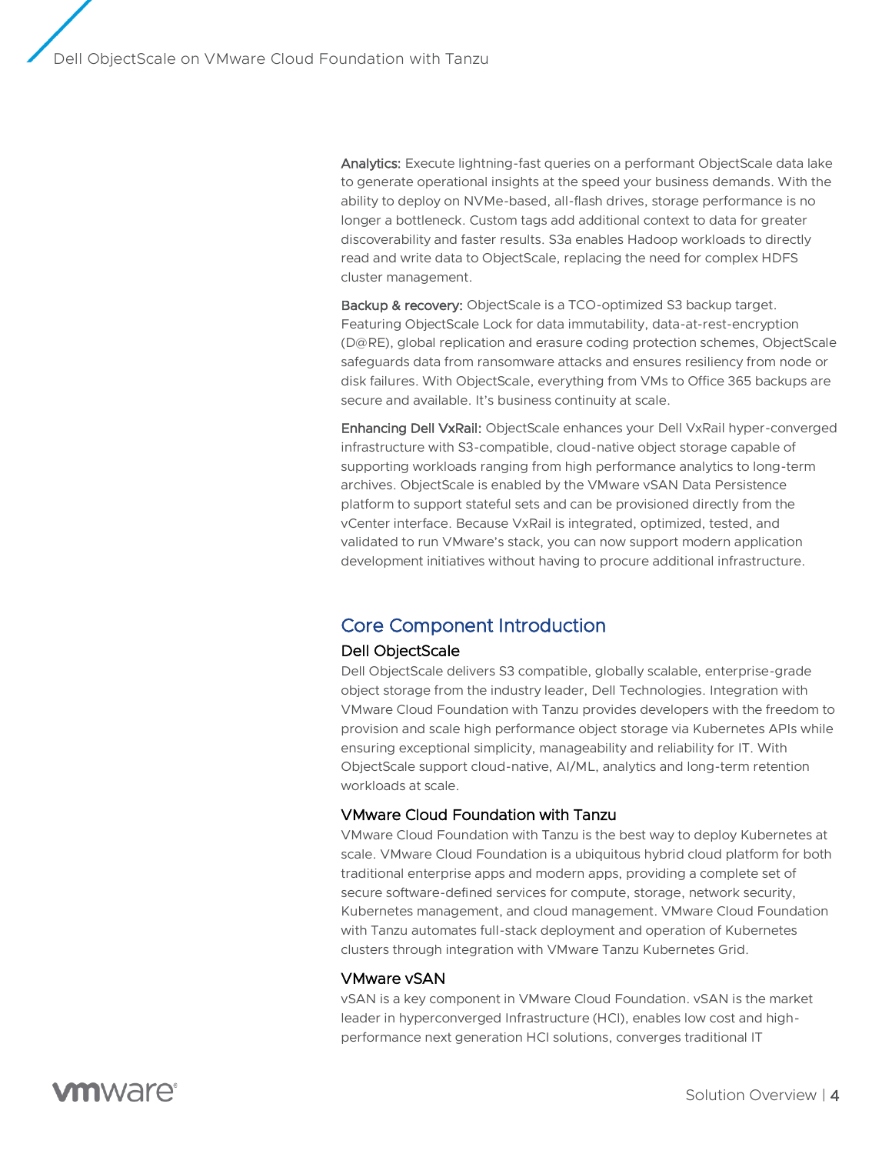Analytics: Execute lightning-fast queries on a performant ObjectScale data lake to generate operational insights at the speed your business demands. With the ability to deploy on NVMe-based, all-flash drives, storage performance is no longer a bottleneck. Custom tags add additional context to data for greater discoverability and faster results. S3a enables Hadoop workloads to directly read and write data to ObjectScale, replacing the need for complex HDFS cluster management.

Backup & recovery: ObjectScale is a TCO-optimized S3 backup target. Featuring ObjectScale Lock for data immutability, data-at-rest-encryption (D@RE), global replication and erasure coding protection schemes, ObjectScale safeguards data from ransomware attacks and ensures resiliency from node or disk failures. With ObjectScale, everything from VMs to Office 365 backups are secure and available. It's business continuity at scale.

Enhancing Dell VxRail: ObjectScale enhances your Dell VxRail hyper-converged infrastructure with S3-compatible, cloud-native object storage capable of supporting workloads ranging from high performance analytics to long-term archives. ObjectScale is enabled by the VMware vSAN Data Persistence platform to support stateful sets and can be provisioned directly from the vCenter interface. Because VxRail is integrated, optimized, tested, and validated to run VMware's stack, you can now support modern application development initiatives without having to procure additional infrastructure.

## Core Component Introduction

### Dell ObjectScale

Dell ObjectScale delivers S3 compatible, globally scalable, enterprise-grade object storage from the industry leader, Dell Technologies. Integration with VMware Cloud Foundation with Tanzu provides developers with the freedom to provision and scale high performance object storage via Kubernetes APIs while ensuring exceptional simplicity, manageability and reliability for IT. With ObjectScale support cloud-native, AI/ML, analytics and long-term retention workloads at scale.

## VMware Cloud Foundation with Tanzu

VMware Cloud Foundation with Tanzu is the best way to deploy Kubernetes at scale. VMware Cloud Foundation is a ubiquitous hybrid cloud platform for both traditional enterprise apps and modern apps, providing a complete set of secure software-defined services for compute, storage, network security, Kubernetes management, and cloud management. VMware Cloud Foundation with Tanzu automates full-stack deployment and operation of Kubernetes clusters through integration with VMware Tanzu Kubernetes Grid.

#### VMware vSAN

vSAN is a key component in VMware Cloud Foundation. vSAN is the market leader in hyperconverged Infrastructure (HCI), enables low cost and highperformance next generation HCI solutions, converges traditional IT